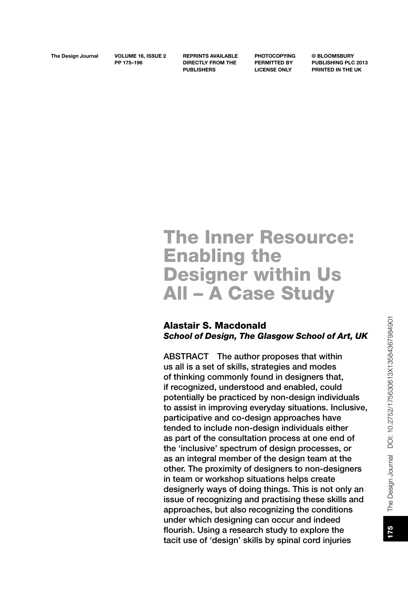**VOLUME 16, ISSUE 2** PP 175-196

**REPRINTS AVAILABLE DIRECTLY FROM THE DURLICHEDS** 

**PHOTOCOPYING** PERMITTED BY **LICENSE ONLY** 

© BLOOMSBURY PUBLISHING PLC 2013 PRINTED IN THE UK

# **The Inner Resource: Enabling the Designer within Us All - A Case Study**

# **Alastair S. Macdonald** School of Design, The Glasgow School of Art, UK

ABSTRACT The author proposes that within us all is a set of skills, strategies and modes of thinking commonly found in designers that, if recognized, understood and enabled, could potentially be practiced by non-design individuals to assist in improving everyday situations. Inclusive, participative and co-design approaches have tended to include non-design individuals either as part of the consultation process at one end of the 'inclusive' spectrum of design processes, or as an integral member of the design team at the other. The proximity of designers to non-designers in team or workshop situations helps create designerly ways of doing things. This is not only an issue of recognizing and practising these skills and approaches, but also recognizing the conditions under which designing can occur and indeed flourish. Using a research study to explore the tacit use of 'design' skills by spinal cord injuries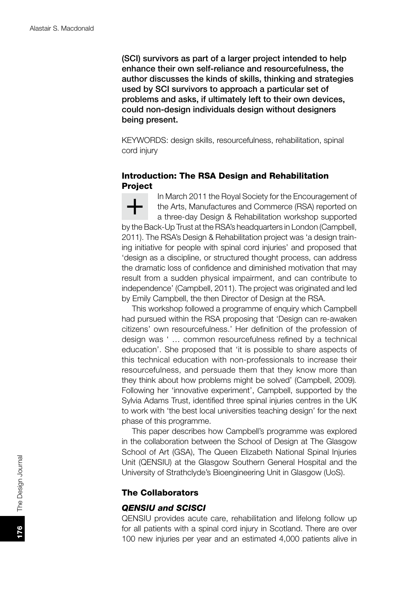(SCI) survivors as part of a larger project intended to help enhance their own self-reliance and resourcefulness, the author discusses the kinds of skills, thinking and strategies used by SCI survivors to approach a particular set of problems and asks, if ultimately left to their own devices, could non-design individuals design without designers being present.

KEYWORDS: design skills, resourcefulness, rehabilitation, spinal cord injury

#### **Introduction: The RSA Design and Rehabilitation Project**

In March 2011 the Royal Society for the Encouragement of the Arts, Manufactures and Commerce (RSA) reported on a three-day Design & Rehabilitation workshop supported by the Back-Up Trust at the RSA's headquarters in London (Campbell, 2011). The RSA's Design & Rehabilitation project was 'a design training initiative for people with spinal cord injuries' and proposed that 'design as a discipline, or structured thought process, can address the dramatic loss of confidence and diminished motivation that may result from a sudden physical impairment, and can contribute to independence' (Campbell, 2011). The project was originated and led by Emily Campbell, the then Director of Design at the RSA.

This workshop followed a programme of enguiry which Campbell had pursued within the RSA proposing that 'Design can re-awaken citizens' own resourcefulness.' Her definition of the profession of design was ' ... common resourcefulness refined by a technical education'. She proposed that 'it is possible to share aspects of this technical education with non-professionals to increase their resourcefulness, and persuade them that they know more than they think about how problems might be solved' (Campbell, 2009). Following her 'innovative experiment', Campbell, supported by the Sylvia Adams Trust, identified three spinal injuries centres in the UK to work with 'the best local universities teaching design' for the next phase of this programme.

This paper describes how Campbell's programme was explored in the collaboration between the School of Design at The Glasgow School of Art (GSA), The Queen Elizabeth National Spinal Injuries Unit (QENSIU) at the Glasgow Southern General Hospital and the University of Strathclyde's Bioengineering Unit in Glasgow (UoS).

# **The Collaborators**

#### **QENSIU and SCISCI**

QENSIU provides acute care, rehabilitation and lifelong follow up for all patients with a spinal cord injury in Scotland. There are over 100 new injuries per year and an estimated 4,000 patients alive in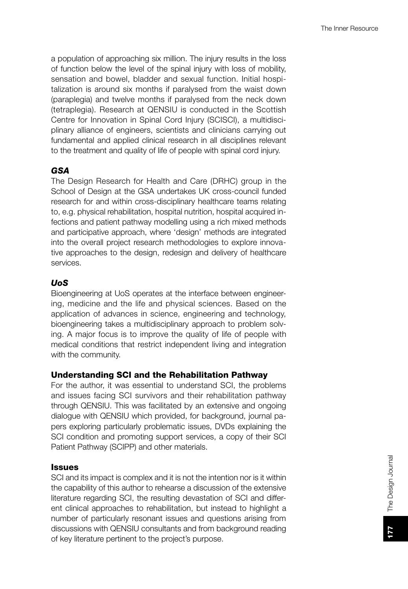a population of approaching six million. The injury results in the loss of function below the level of the spinal injury with loss of mobility, sensation and bowel, bladder and sexual function. Initial hospitalization is around six months if paralysed from the waist down (paraplegia) and twelve months if paralysed from the neck down (tetraplegia). Research at QENSIU is conducted in the Scottish Centre for Innovation in Spinal Cord Injury (SCISCI), a multidisciplinary alliance of engineers, scientists and clinicians carrying out fundamental and applied clinical research in all disciplines relevant to the treatment and quality of life of people with spinal cord injury.

# **GSA**

The Design Research for Health and Care (DRHC) group in the School of Design at the GSA undertakes UK cross-council funded research for and within cross-disciplinary healthcare teams relating to, e.g. physical rehabilitation, hospital nutrition, hospital acquired infections and patient pathway modelling using a rich mixed methods and participative approach, where 'design' methods are integrated into the overall project research methodologies to explore innovative approaches to the design, redesign and delivery of healthcare services.

# **UoS**

Bioengineering at UoS operates at the interface between engineering, medicine and the life and physical sciences. Based on the application of advances in science, engineering and technology, bioengineering takes a multidisciplinary approach to problem solving. A major focus is to improve the quality of life of people with medical conditions that restrict independent living and integration with the community.

#### **Understanding SCI and the Rehabilitation Pathway**

For the author, it was essential to understand SCI, the problems and issues facing SCI survivors and their rehabilitation pathway through QENSIU. This was facilitated by an extensive and ongoing dialogue with QENSIU which provided, for background, journal papers exploring particularly problematic issues, DVDs explaining the SCI condition and promoting support services, a copy of their SCI Patient Pathway (SCIPP) and other materials.

# **Issues**

SCI and its impact is complex and it is not the intention nor is it within the capability of this author to rehearse a discussion of the extensive literature regarding SCI, the resulting devastation of SCI and different clinical approaches to rehabilitation, but instead to highlight a number of particularly resonant issues and questions arising from discussions with QENSIU consultants and from background reading of key literature pertinent to the project's purpose.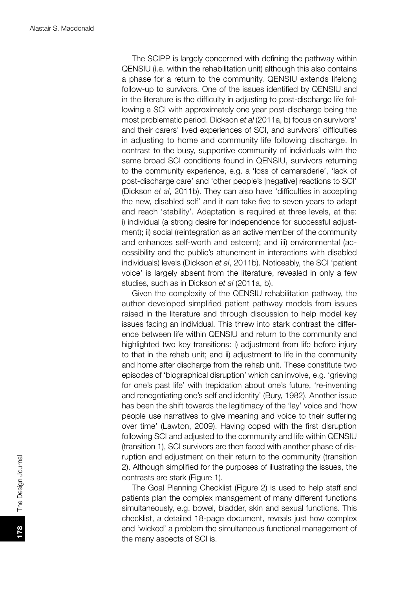The SCIPP is largely concerned with defining the pathway within QENSIU (i.e. within the rehabilitation unit) although this also contains a phase for a return to the community. QENSIU extends lifelong follow-up to survivors. One of the issues identified by QENSIU and in the literature is the difficulty in adjusting to post-discharge life following a SCI with approximately one year post-discharge being the most problematic period. Dickson et al (2011a, b) focus on survivors' and their carers' lived experiences of SCI, and survivors' difficulties in adjusting to home and community life following discharge. In contrast to the busy, supportive community of individuals with the same broad SCI conditions found in QENSIU, survivors returning to the community experience, e.g. a 'loss of camaraderie', 'lack of post-discharge care' and 'other people's [negative] reactions to SCI' (Dickson et al, 2011b). They can also have 'difficulties in accepting the new, disabled self' and it can take five to seven years to adapt and reach 'stability'. Adaptation is required at three levels, at the: i) individual (a strong desire for independence for successful adjustment); ii) social (reintegration as an active member of the community and enhances self-worth and esteem); and iii) environmental (accessibility and the public's attunement in interactions with disabled individuals) levels (Dickson et al, 2011b). Noticeably, the SCI 'patient voice' is largely absent from the literature, revealed in only a few studies, such as in Dickson et al (2011a, b).

Given the complexity of the QENSIU rehabilitation pathway, the author developed simplified patient pathway models from issues raised in the literature and through discussion to help model key issues facing an individual. This threw into stark contrast the difference between life within QENSIU and return to the community and highlighted two key transitions: i) adjustment from life before injury to that in the rehab unit; and ii) adjustment to life in the community and home after discharge from the rehab unit. These constitute two episodes of 'biographical disruption' which can involve, e.g. 'grieving for one's past life' with trepidation about one's future, 're-inventing and renegotiating one's self and identity' (Bury, 1982). Another issue has been the shift towards the legitimacy of the 'lay' voice and 'how people use narratives to give meaning and voice to their suffering over time' (Lawton, 2009). Having coped with the first disruption following SCI and adjusted to the community and life within QENSIU (transition 1), SCI survivors are then faced with another phase of disruption and adjustment on their return to the community (transition 2). Although simplified for the purposes of illustrating the issues, the contrasts are stark (Figure 1).

The Goal Planning Checklist (Figure 2) is used to help staff and patients plan the complex management of many different functions simultaneously, e.g. bowel, bladder, skin and sexual functions. This checklist, a detailed 18-page document, reveals just how complex and 'wicked' a problem the simultaneous functional management of the many aspects of SCI is.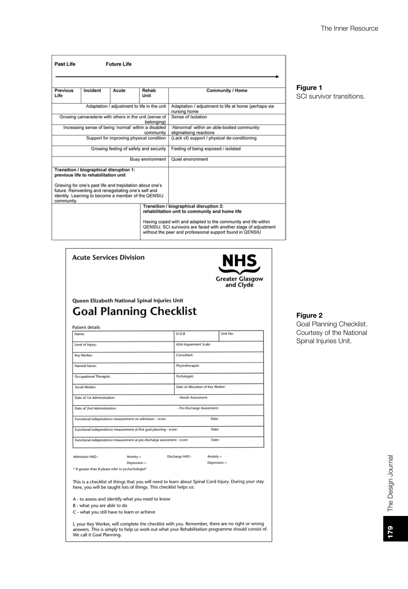| Past Life                                |                                                                                                                                                                         | <b>Future Life</b> |                                             |                                                                                                                                                                                                 |
|------------------------------------------|-------------------------------------------------------------------------------------------------------------------------------------------------------------------------|--------------------|---------------------------------------------|-------------------------------------------------------------------------------------------------------------------------------------------------------------------------------------------------|
|                                          |                                                                                                                                                                         |                    |                                             |                                                                                                                                                                                                 |
| <b>Previous</b><br>Life                  | Incident                                                                                                                                                                | Acute              | Rehab<br>Unit                               | <b>Community / Home</b>                                                                                                                                                                         |
|                                          |                                                                                                                                                                         |                    | Adaptation / adjustment to life in the unit | Adaptation / adjustment to life at home (perhaps via<br>nursing home                                                                                                                            |
|                                          | Growing camaraderie with others in the unit (sense of                                                                                                                   |                    | belonging)                                  | Sense of Isolation                                                                                                                                                                              |
|                                          | Increasing sense of being 'normal' within a disabled                                                                                                                    |                    | community                                   | 'Abnormal' within an able-bodied community:<br>stigmatising reactions                                                                                                                           |
| Support for improving physical condition |                                                                                                                                                                         |                    |                                             | (Lack of) support / physical de-conditioning                                                                                                                                                    |
|                                          |                                                                                                                                                                         |                    | Growing feeling of safety and security      | Feeling of being exposed / isolated                                                                                                                                                             |
|                                          |                                                                                                                                                                         |                    | <b>Busy environment</b>                     | Quiet environment                                                                                                                                                                               |
|                                          | Transition / biographical disruption 1:<br>previous life to rehabilitation unit                                                                                         |                    |                                             |                                                                                                                                                                                                 |
| community.                               | Grieving for one's past life and trepidation about one's<br>future. Reinventing and renegotiating one's self and<br>identity. Learning to become a member of the QENSIU |                    |                                             |                                                                                                                                                                                                 |
|                                          |                                                                                                                                                                         |                    |                                             | Transition / biographical disruption 2:<br>rehabilitation unit to community and home life                                                                                                       |
|                                          |                                                                                                                                                                         |                    |                                             | Having coped with and adapted to the community and life within<br>QENSIU. SCI survivors are faced with another stage of adjustment<br>without the peer and professional support found in QENSIU |

**Acute Services Division** 



# Queen Elizabeth National Spinal Injuries Unit **Goal Planning Checklist**

| Name:                                                               |                                                                          | D.O.B                       | Unit No:                          |  |  |
|---------------------------------------------------------------------|--------------------------------------------------------------------------|-----------------------------|-----------------------------------|--|--|
| Level of Injury:                                                    |                                                                          |                             | ASIA Impairment Scale:            |  |  |
| Key Worker:                                                         |                                                                          | Consultant:                 |                                   |  |  |
| Named Nurse:                                                        |                                                                          |                             | Physiotherapist:                  |  |  |
| <b>Occupational Therapist:</b>                                      |                                                                          | Pschologist:                |                                   |  |  |
| Social Worker:                                                      |                                                                          |                             | Date of Allocation of Key Worker: |  |  |
| Date of 1st Administration:                                         |                                                                          |                             | - Needs Assessment:               |  |  |
| Date of 2nd Administration:                                         |                                                                          | - Pre-Discharge Assessment: |                                   |  |  |
|                                                                     | Functional independence measurement on admission - score:                |                             | Date:                             |  |  |
| Functional independence measurement at first goal planning - score: | Date:                                                                    |                             |                                   |  |  |
|                                                                     | Functional independence measurement at pre-discharge assessment - score: |                             | Date:                             |  |  |
|                                                                     |                                                                          |                             |                                   |  |  |
| Admission HAD -                                                     | $Anxiety =$                                                              | Discharge HAD -             | $Anxietv =$                       |  |  |

This is a checklist of things that you will need to learn about Spinal Cord Injury. During your stay here, you will be taught lots of things. This checklist helps us:

A - to assess and identify what you need to know

B - what you are able to do

C - what you still have to learn or achieve

I, your Key Worker, will complete the checklist with you. Remember, there are no right or wrong answers. This is simply to help us work out what your Rehabilitation programme should consist of. We call it Goal Planning.

#### Figure 1 SCI survivor transitions.

#### Figure 2

Goal Planning Checklist. Courtesy of the National Spinal Injuries Unit.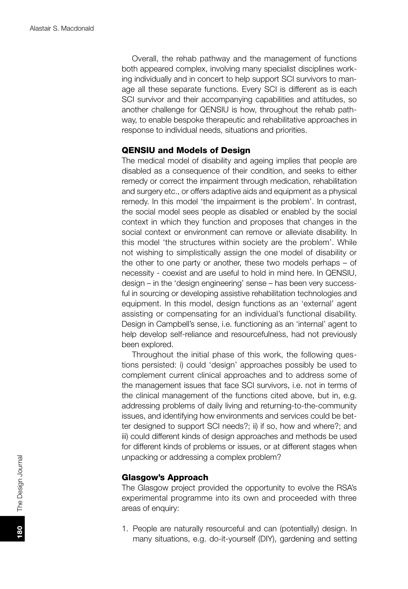Overall, the rehab pathway and the management of functions both appeared complex, involving many specialist disciplines working individually and in concert to help support SCI survivors to manage all these separate functions. Every SCI is different as is each SCI survivor and their accompanying capabilities and attitudes, so another challenge for QENSIU is how, throughout the rehab pathway, to enable bespoke therapeutic and rehabilitative approaches in response to individual needs, situations and priorities.

#### **QENSIU and Models of Design**

The medical model of disability and ageing implies that people are disabled as a consequence of their condition, and seeks to either remedy or correct the impairment through medication, rehabilitation and surgery etc., or offers adaptive aids and equipment as a physical remedy. In this model 'the impairment is the problem'. In contrast, the social model sees people as disabled or enabled by the social context in which they function and proposes that changes in the social context or environment can remove or alleviate disability. In this model 'the structures within society are the problem'. While not wishing to simplistically assign the one model of disability or the other to one party or another, these two models perhaps  $-$  of necessity - coexist and are useful to hold in mind here. In QENSIU, design – in the 'design engineering' sense – has been very successful in sourcing or developing assistive rehabilitation technologies and equipment. In this model, design functions as an 'external' agent assisting or compensating for an individual's functional disability. Design in Campbell's sense, i.e. functioning as an 'internal' agent to help develop self-reliance and resourcefulness, had not previously been explored.

Throughout the initial phase of this work, the following questions persisted: i) could 'design' approaches possibly be used to complement current clinical approaches and to address some of the management issues that face SCI survivors, i.e. not in terms of the clinical management of the functions cited above, but in, e.g. addressing problems of daily living and returning-to-the-community issues, and identifying how environments and services could be better designed to support SCI needs?; ii) if so, how and where?; and iii) could different kinds of design approaches and methods be used for different kinds of problems or issues, or at different stages when unpacking or addressing a complex problem?

#### **Glasgow's Approach**

The Glasgow project provided the opportunity to evolve the RSA's experimental programme into its own and proceeded with three areas of enquiry:

1. People are naturally resourceful and can (potentially) design. In many situations, e.g. do-it-yourself (DIY), gardening and setting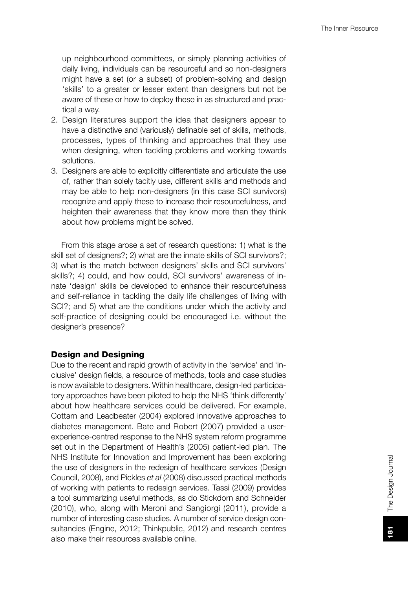up neighbourhood committees, or simply planning activities of daily living, individuals can be resourceful and so non-designers might have a set (or a subset) of problem-solving and design 'skills' to a greater or lesser extent than designers but not be aware of these or how to deploy these in as structured and practical a way.

- 2. Design literatures support the idea that designers appear to have a distinctive and (variously) definable set of skills, methods, processes, types of thinking and approaches that they use when designing, when tackling problems and working towards solutions
- 3. Designers are able to explicitly differentiate and articulate the use of, rather than solely tacitly use, different skills and methods and may be able to help non-designers (in this case SCI survivors) recognize and apply these to increase their resourcefulness, and heighten their awareness that they know more than they think about how problems might be solved.

From this stage arose a set of research questions: 1) what is the skill set of designers?; 2) what are the innate skills of SCI survivors?; 3) what is the match between designers' skills and SCI survivors' skills?; 4) could, and how could, SCI survivors' awareness of innate 'design' skills be developed to enhance their resourcefulness and self-reliance in tackling the daily life challenges of living with SCI?; and 5) what are the conditions under which the activity and self-practice of designing could be encouraged i.e. without the designer's presence?

#### **Design and Designing**

Due to the recent and rapid growth of activity in the 'service' and 'inclusive' design fields, a resource of methods, tools and case studies is now available to designers. Within healthcare, design-led participatory approaches have been piloted to help the NHS 'think differently' about how healthcare services could be delivered. For example, Cottam and Leadbeater (2004) explored innovative approaches to diabetes management. Bate and Robert (2007) provided a userexperience-centred response to the NHS system reform programme set out in the Department of Health's (2005) patient-led plan. The NHS Institute for Innovation and Improvement has been exploring the use of designers in the redesign of healthcare services (Design Council, 2008), and Pickles et al (2008) discussed practical methods of working with patients to redesign services. Tassi (2009) provides a tool summarizing useful methods, as do Stickdorn and Schneider (2010), who, along with Meroni and Sangiorgi (2011), provide a number of interesting case studies. A number of service design consultancies (Engine, 2012; Thinkpublic, 2012) and research centres also make their resources available online.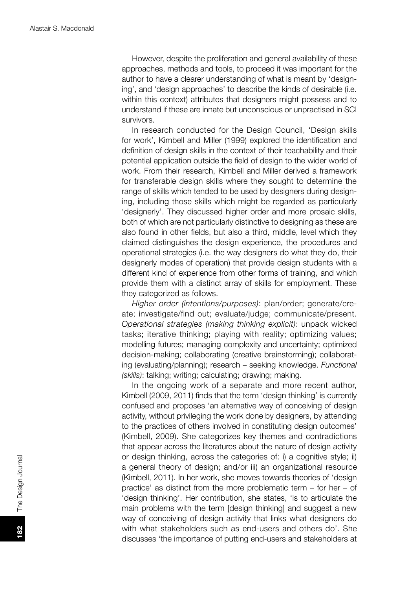However, despite the proliferation and general availability of these approaches, methods and tools, to proceed it was important for the author to have a clearer understanding of what is meant by 'designing', and 'design approaches' to describe the kinds of desirable (i.e. within this context) attributes that designers might possess and to understand if these are innate but unconscious or unpractised in SCI survivors.

In research conducted for the Design Council, 'Design skills for work', Kimbell and Miller (1999) explored the identification and definition of design skills in the context of their teachability and their potential application outside the field of design to the wider world of work. From their research, Kimbell and Miller derived a framework for transferable design skills where they sought to determine the range of skills which tended to be used by designers during designing, including those skills which might be regarded as particularly 'designerly'. They discussed higher order and more prosaic skills, both of which are not particularly distinctive to designing as these are also found in other fields, but also a third, middle, level which they claimed distinguishes the design experience, the procedures and operational strategies (i.e. the way designers do what they do, their designerly modes of operation) that provide design students with a different kind of experience from other forms of training, and which provide them with a distinct array of skills for employment. These they categorized as follows.

Higher order (intentions/purposes): plan/order; generate/create; investigate/find out; evaluate/judge; communicate/present. Operational strategies (making thinking explicit): unpack wicked tasks; iterative thinking; playing with reality; optimizing values; modelling futures; managing complexity and uncertainty; optimized decision-making; collaborating (creative brainstorming); collaborating (evaluating/planning); research - seeking knowledge. Functional (skills): talking; writing; calculating; drawing; making.

In the ongoing work of a separate and more recent author, Kimbell (2009, 2011) finds that the term 'design thinking' is currently confused and proposes 'an alternative way of conceiving of design activity, without privileging the work done by designers, by attending to the practices of others involved in constituting design outcomes' (Kimbell, 2009). She categorizes key themes and contradictions that appear across the literatures about the nature of design activity or design thinking, across the categories of: i) a cognitive style; ii) a general theory of design; and/or iii) an organizational resource (Kimbell, 2011). In her work, she moves towards theories of 'design practice' as distinct from the more problematic term  $-$  for her  $-$  of 'design thinking'. Her contribution, she states, 'is to articulate the main problems with the term [design thinking] and suggest a new way of conceiving of design activity that links what designers do with what stakeholders such as end-users and others do'. She discusses 'the importance of putting end-users and stakeholders at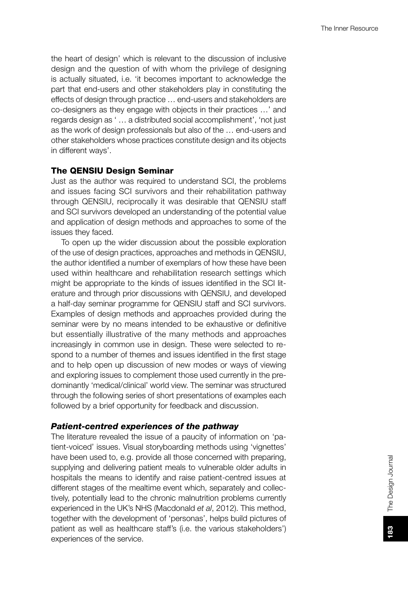the heart of design' which is relevant to the discussion of inclusive design and the question of with whom the privilege of designing is actually situated, i.e. 'it becomes important to acknowledge the part that end-users and other stakeholders play in constituting the effects of design through practice ... end-users and stakeholders are co-designers as they engage with objects in their practices ...' and regards design as '... a distributed social accomplishment', 'not just as the work of design professionals but also of the ... end-users and other stakeholders whose practices constitute design and its objects in different ways'.

#### **The QENSIU Design Seminar**

Just as the author was required to understand SCI, the problems and issues facing SCI survivors and their rehabilitation pathway through QENSIU, reciprocally it was desirable that QENSIU staff and SCI survivors developed an understanding of the potential value and application of design methods and approaches to some of the issues they faced.

To open up the wider discussion about the possible exploration of the use of design practices, approaches and methods in QENSIU, the author identified a number of exemplars of how these have been used within healthcare and rehabilitation research settings which might be appropriate to the kinds of issues identified in the SCI literature and through prior discussions with QENSIU, and developed a half-day seminar programme for QENSIU staff and SCI survivors. Examples of design methods and approaches provided during the seminar were by no means intended to be exhaustive or definitive but essentially illustrative of the many methods and approaches increasingly in common use in design. These were selected to respond to a number of themes and issues identified in the first stage and to help open up discussion of new modes or ways of viewing and exploring issues to complement those used currently in the predominantly 'medical/clinical' world view. The seminar was structured through the following series of short presentations of examples each followed by a brief opportunity for feedback and discussion.

#### Patient-centred experiences of the pathway

The literature revealed the issue of a paucity of information on 'patient-voiced' issues. Visual storyboarding methods using 'vignettes' have been used to, e.g. provide all those concerned with preparing, supplying and delivering patient meals to vulnerable older adults in hospitals the means to identify and raise patient-centred issues at different stages of the mealtime event which, separately and collectively, potentially lead to the chronic malnutrition problems currently experienced in the UK's NHS (Macdonald et al, 2012). This method, together with the development of 'personas', helps build pictures of patient as well as healthcare staff's (i.e. the various stakeholders') experiences of the service.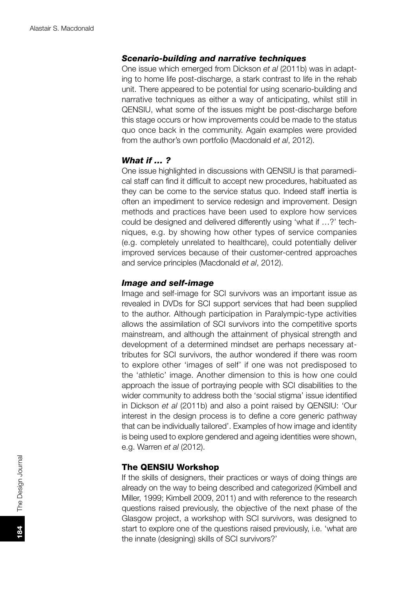#### **Scenario-building and narrative techniques**

One issue which emerged from Dickson et al (2011b) was in adapting to home life post-discharge, a stark contrast to life in the rehab unit. There appeared to be potential for using scenario-building and narrative techniques as either a way of anticipating, whilst still in QENSIU, what some of the issues might be post-discharge before this stage occurs or how improvements could be made to the status quo once back in the community. Again examples were provided from the author's own portfolio (Macdonald et al, 2012).

# What if  $\ldots$  ?

One issue highlighted in discussions with QENSIU is that paramedical staff can find it difficult to accept new procedures, habituated as they can be come to the service status quo. Indeed staff inertia is often an impediment to service redesign and improvement. Design methods and practices have been used to explore how services could be designed and delivered differently using 'what if ...?' techniques, e.g. by showing how other types of service companies (e.g. completely unrelated to healthcare), could potentially deliver improved services because of their customer-centred approaches and service principles (Macdonald et al, 2012).

#### Image and self-image

Image and self-image for SCI survivors was an important issue as revealed in DVDs for SCI support services that had been supplied to the author. Although participation in Paralympic-type activities allows the assimilation of SCI survivors into the competitive sports mainstream, and although the attainment of physical strength and development of a determined mindset are perhaps necessary attributes for SCI survivors, the author wondered if there was room to explore other 'images of self' if one was not predisposed to the 'athletic' image. Another dimension to this is how one could approach the issue of portraying people with SCI disabilities to the wider community to address both the 'social stigma' issue identified in Dickson et al (2011b) and also a point raised by QENSIU: 'Our interest in the design process is to define a core generic pathway that can be individually tailored'. Examples of how image and identity is being used to explore gendered and ageing identities were shown, e.g. Warren et al (2012).

#### **The QENSIU Workshop**

If the skills of designers, their practices or ways of doing things are already on the way to being described and categorized (Kimbell and Miller, 1999; Kimbell 2009, 2011) and with reference to the research questions raised previously, the objective of the next phase of the Glasgow project, a workshop with SCI survivors, was designed to start to explore one of the questions raised previously, i.e. 'what are the innate (designing) skills of SCI survivors?'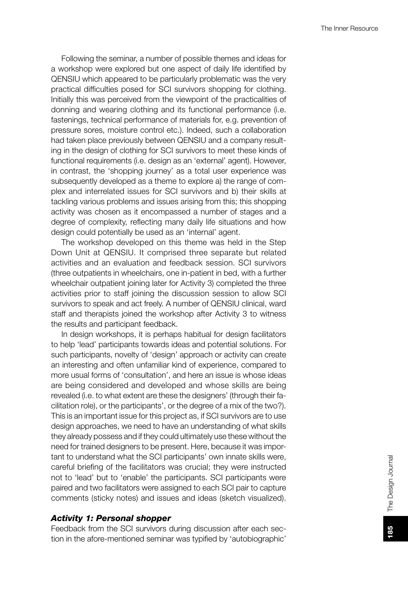Following the seminar, a number of possible themes and ideas for a workshop were explored but one aspect of daily life identified by QENSIU which appeared to be particularly problematic was the very practical difficulties posed for SCI survivors shopping for clothing. Initially this was perceived from the viewpoint of the practicalities of donning and wearing clothing and its functional performance (i.e. fastenings, technical performance of materials for, e.g. prevention of pressure sores, moisture control etc.). Indeed, such a collaboration had taken place previously between QENSIU and a company resulting in the design of clothing for SCI survivors to meet these kinds of functional requirements (i.e. design as an 'external' agent). However, in contrast, the 'shopping journey' as a total user experience was subsequently developed as a theme to explore a) the range of complex and interrelated issues for SCI survivors and b) their skills at tackling various problems and issues arising from this; this shopping activity was chosen as it encompassed a number of stages and a degree of complexity, reflecting many daily life situations and how design could potentially be used as an 'internal' agent.

The workshop developed on this theme was held in the Step Down Unit at QENSIU. It comprised three separate but related activities and an evaluation and feedback session. SCI survivors (three outpatients in wheelchairs, one in-patient in bed, with a further wheelchair outpatient joining later for Activity 3) completed the three activities prior to staff joining the discussion session to allow SCI survivors to speak and act freely. A number of QENSIU clinical, ward staff and therapists joined the workshop after Activity 3 to witness the results and participant feedback.

In design workshops, it is perhaps habitual for design facilitators to help 'lead' participants towards ideas and potential solutions. For such participants, novelty of 'design' approach or activity can create an interesting and often unfamiliar kind of experience, compared to more usual forms of 'consultation', and here an issue is whose ideas are being considered and developed and whose skills are being revealed (i.e. to what extent are these the designers' (through their facilitation role), or the participants', or the degree of a mix of the two?). This is an important issue for this project as, if SCI survivors are to use design approaches, we need to have an understanding of what skills they already possess and if they could ultimately use these without the need for trained designers to be present. Here, because it was important to understand what the SCI participants' own innate skills were, careful briefing of the facilitators was crucial; they were instructed not to 'lead' but to 'enable' the participants. SCI participants were paired and two facilitators were assigned to each SCI pair to capture comments (sticky notes) and issues and ideas (sketch visualized).

#### **Activity 1: Personal shopper**

Feedback from the SCI survivors during discussion after each section in the afore-mentioned seminar was typified by 'autobiographic'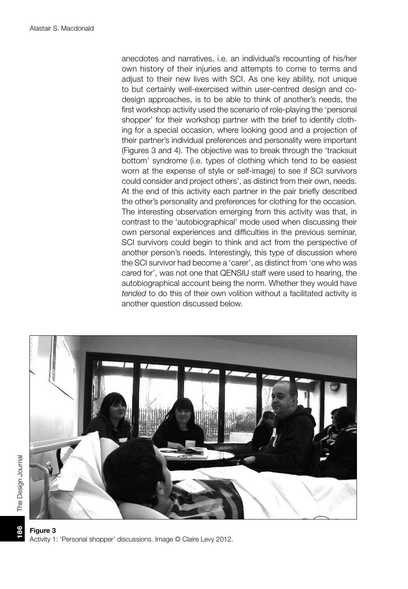anecdotes and narratives, i.e. an individual's recounting of his/her own history of their injuries and attempts to come to terms and adjust to their new lives with SCI. As one key ability, not unique to but certainly well-exercised within user-centred design and codesign approaches, is to be able to think of another's needs, the first workshop activity used the scenario of role-playing the 'personal shopper' for their workshop partner with the brief to identify clothing for a special occasion, where looking good and a projection of their partner's individual preferences and personality were important (Figures 3 and 4). The objective was to break through the 'tracksuit bottom' syndrome (i.e. types of clothing which tend to be easiest worn at the expense of style or self-image) to see if SCI survivors could consider and project others', as distinct from their own, needs. At the end of this activity each partner in the pair briefly described the other's personality and preferences for clothing for the occasion. The interesting observation emerging from this activity was that, in contrast to the 'autobiographical' mode used when discussing their own personal experiences and difficulties in the previous seminar, SCI survivors could begin to think and act from the perspective of another person's needs. Interestingly, this type of discussion where the SCI survivor had become a 'carer', as distinct from 'one who was cared for', was not one that QENSIU staff were used to hearing, the autobiographical account being the norm. Whether they would have tended to do this of their own volition without a facilitated activity is another question discussed below.



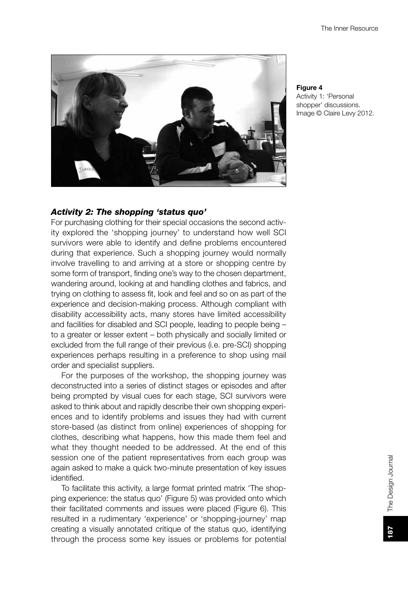

Figure 4

Activity 1: 'Personal shopper' discussions. Image © Claire Levy 2012.

# Activity 2: The shopping 'status quo'

For purchasing clothing for their special occasions the second activity explored the 'shopping journey' to understand how well SCI survivors were able to identify and define problems encountered during that experience. Such a shopping journey would normally involve travelling to and arriving at a store or shopping centre by some form of transport, finding one's way to the chosen department, wandering around, looking at and handling clothes and fabrics, and trying on clothing to assess fit, look and feel and so on as part of the experience and decision-making process. Although compliant with disability accessibility acts, many stores have limited accessibility and facilities for disabled and SCI people, leading to people being to a greater or lesser extent – both physically and socially limited or excluded from the full range of their previous (i.e. pre-SCI) shopping experiences perhaps resulting in a preference to shop using mail order and specialist suppliers.

For the purposes of the workshop, the shopping journey was deconstructed into a series of distinct stages or episodes and after being prompted by visual cues for each stage, SCI survivors were asked to think about and rapidly describe their own shopping experiences and to identify problems and issues they had with current store-based (as distinct from online) experiences of shopping for clothes, describing what happens, how this made them feel and what they thought needed to be addressed. At the end of this session one of the patient representatives from each group was again asked to make a quick two-minute presentation of key issues identified

To facilitate this activity, a large format printed matrix 'The shopping experience: the status quo' (Figure 5) was provided onto which their facilitated comments and issues were placed (Figure 6). This resulted in a rudimentary 'experience' or 'shopping-journey' map creating a visually annotated critique of the status quo, identifying through the process some key issues or problems for potential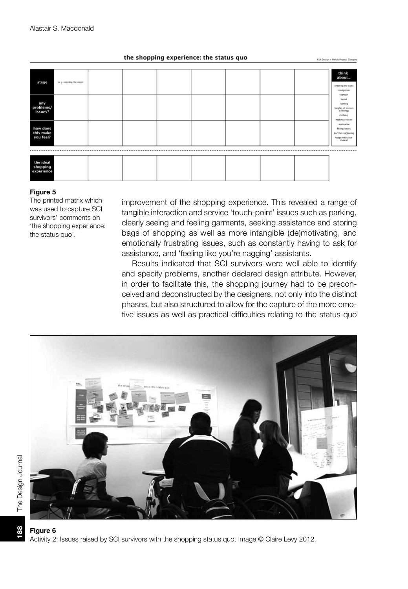#### the shopping experience: the status quo



#### Figure 5

The printed matrix which was used to capture SCI survivors' comments on 'the shopping experience: the status quo'.

improvement of the shopping experience. This revealed a range of tangible interaction and service 'touch-point' issues such as parking, clearly seeing and feeling garments, seeking assistance and storing bags of shopping as well as more intangible (de)motivating, and emotionally frustrating issues, such as constantly having to ask for assistance, and 'feeling like you're nagging' assistants.

Results indicated that SCI survivors were well able to identify and specify problems, another declared design attribute. However, in order to facilitate this, the shopping journey had to be preconceived and deconstructed by the designers, not only into the distinct phases, but also structured to allow for the capture of the more emotive issues as well as practical difficulties relating to the status quo



188

# Figure 6

Activity 2: Issues raised by SCI survivors with the shopping status quo. Image @ Claire Levy 2012.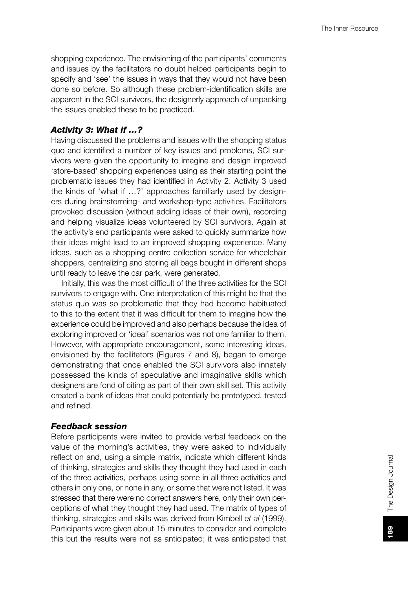shopping experience. The envisioning of the participants' comments and issues by the facilitators no doubt helped participants begin to specify and 'see' the issues in ways that they would not have been done so before. So although these problem-identification skills are apparent in the SCI survivors, the designerly approach of unpacking the issues enabled these to be practiced.

#### Activity 3: What if ...?

Having discussed the problems and issues with the shopping status quo and identified a number of key issues and problems, SCI survivors were given the opportunity to imagine and design improved 'store-based' shopping experiences using as their starting point the problematic issues they had identified in Activity 2. Activity 3 used the kinds of 'what if ...?' approaches familiarly used by designers during brainstorming- and workshop-type activities. Facilitators provoked discussion (without adding ideas of their own), recording and helping visualize ideas volunteered by SCI survivors. Again at the activity's end participants were asked to quickly summarize how their ideas might lead to an improved shopping experience. Many ideas, such as a shopping centre collection service for wheelchair shoppers, centralizing and storing all bags bought in different shops until ready to leave the car park, were generated.

Initially, this was the most difficult of the three activities for the SCI survivors to engage with. One interpretation of this might be that the status quo was so problematic that they had become habituated to this to the extent that it was difficult for them to imagine how the experience could be improved and also perhaps because the idea of exploring improved or 'ideal' scenarios was not one familiar to them. However, with appropriate encouragement, some interesting ideas, envisioned by the facilitators (Figures 7 and 8), began to emerge demonstrating that once enabled the SCI survivors also innately possessed the kinds of speculative and imaginative skills which designers are fond of citing as part of their own skill set. This activity created a bank of ideas that could potentially be prototyped, tested and refined

#### **Feedback session**

Before participants were invited to provide verbal feedback on the value of the morning's activities, they were asked to individually reflect on and, using a simple matrix, indicate which different kinds of thinking, strategies and skills they thought they had used in each of the three activities, perhaps using some in all three activities and others in only one, or none in any, or some that were not listed. It was stressed that there were no correct answers here, only their own perceptions of what they thought they had used. The matrix of types of thinking, strategies and skills was derived from Kimbell et al (1999). Participants were given about 15 minutes to consider and complete this but the results were not as anticipated; it was anticipated that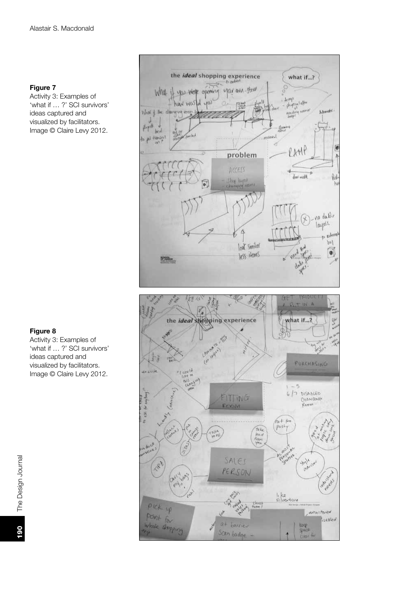#### Figure 7

Activity 3: Examples of 'what if ...?' SCI survivors' ideas captured and visualized by facilitators. Image © Claire Levy 2012.

# Figure 8

Activity 3: Examples of 'what if ... ?' SCI survivors' ideas captured and visualized by facilitators. Image © Claire Levy 2012.

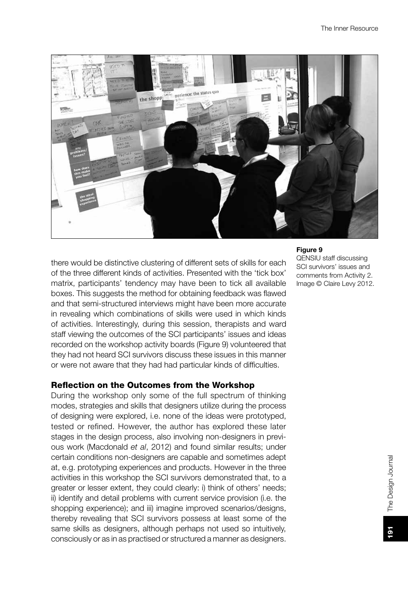

there would be distinctive clustering of different sets of skills for each of the three different kinds of activities. Presented with the 'tick box' matrix, participants' tendency may have been to tick all available boxes. This suggests the method for obtaining feedback was flawed and that semi-structured interviews might have been more accurate in revealing which combinations of skills were used in which kinds of activities. Interestingly, during this session, therapists and ward staff viewing the outcomes of the SCI participants' issues and ideas recorded on the workshop activity boards (Figure 9) volunteered that they had not heard SCI survivors discuss these issues in this manner or were not aware that they had had particular kinds of difficulties.

# Reflection on the Outcomes from the Workshop

During the workshop only some of the full spectrum of thinking modes, strategies and skills that designers utilize during the process of designing were explored, i.e. none of the ideas were prototyped, tested or refined. However, the author has explored these later stages in the design process, also involving non-designers in previous work (Macdonald et al, 2012) and found similar results; under certain conditions non-designers are capable and sometimes adept at, e.g. prototyping experiences and products. However in the three activities in this workshop the SCI survivors demonstrated that, to a greater or lesser extent, they could clearly: i) think of others' needs; ii) identify and detail problems with current service provision (i.e. the shopping experience); and iii) imagine improved scenarios/designs, thereby revealing that SCI survivors possess at least some of the same skills as designers, although perhaps not used so intuitively, consciously or as in as practised or structured a manner as designers.

#### Figure 9

**QENSIU** staff discussing SCI survivors' issues and comments from Activity 2. Image © Claire Levy 2012.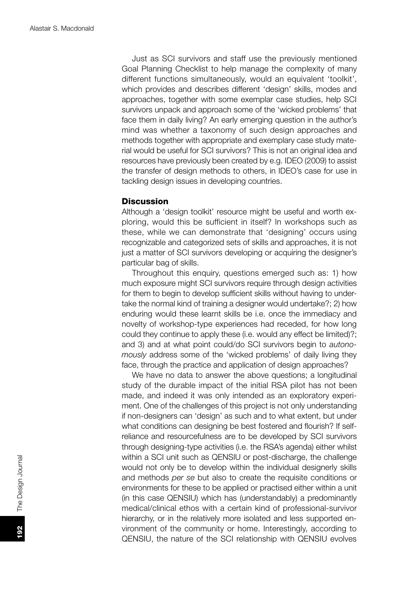Just as SCI survivors and staff use the previously mentioned Goal Planning Checklist to help manage the complexity of many different functions simultaneously, would an equivalent 'toolkit', which provides and describes different 'design' skills, modes and approaches, together with some exemplar case studies, help SCI survivors unpack and approach some of the 'wicked problems' that face them in daily living? An early emerging question in the author's mind was whether a taxonomy of such design approaches and methods together with appropriate and exemplary case study material would be useful for SCI survivors? This is not an original idea and resources have previously been created by e.g. IDEO (2009) to assist the transfer of design methods to others, in IDEO's case for use in tackling design issues in developing countries.

#### **Discussion**

Although a 'design toolkit' resource might be useful and worth exploring, would this be sufficient in itself? In workshops such as these, while we can demonstrate that 'designing' occurs using recognizable and categorized sets of skills and approaches, it is not just a matter of SCI survivors developing or acquiring the designer's particular bag of skills.

Throughout this enguiry, questions emerged such as: 1) how much exposure might SCI survivors require through design activities for them to begin to develop sufficient skills without having to undertake the normal kind of training a designer would undertake?; 2) how enduring would these learnt skills be i.e. once the immediacy and novelty of workshop-type experiences had receded, for how long could they continue to apply these (i.e. would any effect be limited)?; and 3) and at what point could/do SCI survivors begin to autonomously address some of the 'wicked problems' of daily living they face, through the practice and application of design approaches?

We have no data to answer the above questions; a longitudinal study of the durable impact of the initial RSA pilot has not been made, and indeed it was only intended as an exploratory experiment. One of the challenges of this project is not only understanding if non-designers can 'design' as such and to what extent, but under what conditions can designing be best fostered and flourish? If selfreliance and resourcefulness are to be developed by SCI survivors through designing-type activities (i.e. the RSA's agenda) either whilst within a SCI unit such as QENSIU or post-discharge, the challenge would not only be to develop within the individual designerly skills and methods per se but also to create the requisite conditions or environments for these to be applied or practised either within a unit (in this case QENSIU) which has (understandably) a predominantly medical/clinical ethos with a certain kind of professional-survivor hierarchy, or in the relatively more isolated and less supported environment of the community or home. Interestingly, according to QENSIU, the nature of the SCI relationship with QENSIU evolves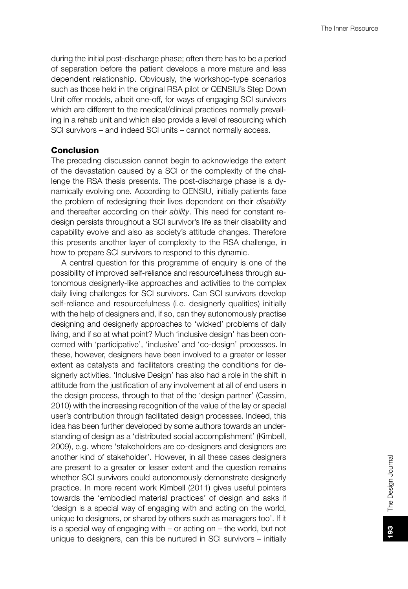during the initial post-discharge phase; often there has to be a period of separation before the patient develops a more mature and less dependent relationship. Obviously, the workshop-type scenarios such as those held in the original RSA pilot or QENSIU's Step Down Unit offer models, albeit one-off, for ways of engaging SCI survivors which are different to the medical/clinical practices normally prevailing in a rehab unit and which also provide a level of resourcing which SCI survivors – and indeed SCI units – cannot normally access.

# **Conclusion**

The preceding discussion cannot begin to acknowledge the extent of the devastation caused by a SCI or the complexity of the challenge the RSA thesis presents. The post-discharge phase is a dynamically evolving one. According to QENSIU, initially patients face the problem of redesigning their lives dependent on their disability and thereafter according on their ability. This need for constant redesign persists throughout a SCI survivor's life as their disability and capability evolve and also as society's attitude changes. Therefore this presents another layer of complexity to the RSA challenge, in how to prepare SCI survivors to respond to this dynamic.

A central question for this programme of enguiry is one of the possibility of improved self-reliance and resourcefulness through autonomous designerly-like approaches and activities to the complex daily living challenges for SCI survivors. Can SCI survivors develop self-reliance and resourcefulness (i.e. designerly qualities) initially with the help of designers and, if so, can they autonomously practise designing and designerly approaches to 'wicked' problems of daily living, and if so at what point? Much 'inclusive design' has been concerned with 'participative', 'inclusive' and 'co-design' processes. In these, however, designers have been involved to a greater or lesser extent as catalysts and facilitators creating the conditions for designerly activities. 'Inclusive Design' has also had a role in the shift in attitude from the justification of any involvement at all of end users in the design process, through to that of the 'design partner' (Cassim, 2010) with the increasing recognition of the value of the lay or special user's contribution through facilitated design processes. Indeed, this idea has been further developed by some authors towards an understanding of design as a 'distributed social accomplishment' (Kimbell, 2009), e.g. where 'stakeholders are co-designers and designers are another kind of stakeholder'. However, in all these cases designers are present to a greater or lesser extent and the question remains whether SCI survivors could autonomously demonstrate designerly practice. In more recent work Kimbell (2011) gives useful pointers towards the 'embodied material practices' of design and asks if 'design is a special way of engaging with and acting on the world, unique to designers, or shared by others such as managers too'. If it is a special way of engaging with  $-$  or acting on  $-$  the world, but not unique to designers, can this be nurtured in SCI survivors - initially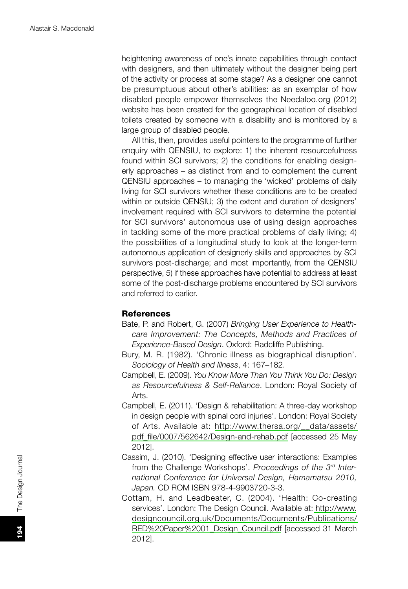heightening awareness of one's innate capabilities through contact with designers, and then ultimately without the designer being part of the activity or process at some stage? As a designer one cannot be presumptuous about other's abilities: as an exemplar of how disabled people empower themselves the Needaloo.org (2012) website has been created for the geographical location of disabled toilets created by someone with a disability and is monitored by a large group of disabled people.

All this, then, provides useful pointers to the programme of further enquiry with QENSIU, to explore: 1) the inherent resourcefulness found within SCI survivors; 2) the conditions for enabling designerly approaches - as distinct from and to complement the current QENSIU approaches – to managing the 'wicked' problems of daily living for SCI survivors whether these conditions are to be created within or outside QENSIU; 3) the extent and duration of designers' involvement required with SCI survivors to determine the potential for SCI survivors' autonomous use of using design approaches in tackling some of the more practical problems of daily living; 4) the possibilities of a longitudinal study to look at the longer-term autonomous application of designerly skills and approaches by SCI survivors post-discharge; and most importantly, from the QENSIU perspective, 5) if these approaches have potential to address at least some of the post-discharge problems encountered by SCI survivors and referred to earlier

#### **References**

- Bate, P. and Robert, G. (2007) Bringing User Experience to Healthcare Improvement: The Concepts, Methods and Practices of Experience-Based Design. Oxford: Radcliffe Publishing.
- Bury, M. R. (1982). 'Chronic illness as biographical disruption'. Sociology of Health and Illness, 4: 167-182.
- Campbell, E. (2009). You Know More Than You Think You Do: Design as Resourcefulness & Self-Reliance. London: Royal Society of Arts
- Campbell, E. (2011). 'Design & rehabilitation: A three-day workshop in design people with spinal cord injuries'. London: Royal Society of Arts. Available at: http://www.thersa.org/ data/assets/ pdf file/0007/562642/Design-and-rehab.pdf [accessed 25 May 2012].
- Cassim, J. (2010). 'Designing effective user interactions: Examples from the Challenge Workshops'. Proceedings of the 3rd International Conference for Universal Design, Hamamatsu 2010, Japan. CD ROM ISBN 978-4-9903720-3-3.
- Cottam, H. and Leadbeater, C. (2004). 'Health: Co-creating services'. London: The Design Council. Available at: http://www. designcouncil.org.uk/Documents/Documents/Publications/ RED%20Paper%2001\_Design\_Council.pdf [accessed 31 March 2012].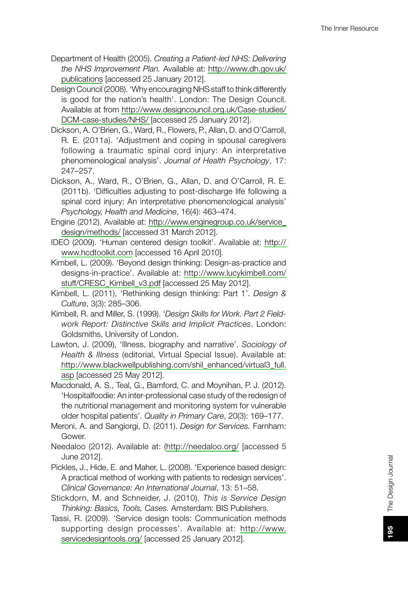- Department of Health (2005). Creating a Patient-led NHS: Delivering the NHS Improvement Plan. Available at: http://www.dh.gov.uk/ publications [accessed 25 January 2012].
- Design Council (2008). 'Why encouraging NHS staff to think differently is good for the nation's health'. London: The Design Council. Available at from http://www.designcouncil.org.uk/Case-studies/ DCM-case-studies/NHS/ [accessed 25 January 2012].
- Dickson, A. O'Brien, G., Ward, R., Flowers, P., Allan, D. and O'Carroll, R. E. (2011a). 'Adjustment and coping in spousal caregivers following a traumatic spinal cord injury: An interpretative phenomenological analysis'. Journal of Health Psychology, 17: 247-257.
- Dickson, A., Ward, R., O'Brien, G., Allan, D. and O'Carroll, R. E. (2011b). 'Difficulties adjusting to post-discharge life following a spinal cord injury: An interpretative phenomenological analysis' Psychology, Health and Medicine, 16(4): 463-474.
- Engine (2012). Available at: http://www.enginegroup.co.uk/service design/methods/ [accessed 31 March 2012].
- IDEO (2009). 'Human centered design toolkit'. Available at: http:// www.hcdtoolkit.com [accessed 16 April 2010].
- Kimbell, L. (2009). 'Beyond design thinking: Design-as-practice and designs-in-practice'. Available at: http://www.lucykimbell.com/ stuff/CRESC Kimbell v3.pdf [accessed 25 May 2012].
- Kimbell, L. (2011), 'Rethinking design thinking: Part 1'. Design & Culture, 3(3): 285-306.
- Kimbell, R. and Miller, S. (1999). 'Design Skills for Work. Part 2 Fieldwork Report: Distinctive Skills and Implicit Practices. London: Goldsmiths, University of London.
- Lawton, J. (2009), 'Illness, biography and narrative'. Sociology of Health & Illness (editorial, Virtual Special Issue). Available at: http://www.blackwellpublishing.com/shil enhanced/virtual3 full. asp [accessed 25 May 2012].
- Macdonald, A. S., Teal, G., Bamford, C. and Moynihan, P. J. (2012). 'Hospitalfoodie: An inter-professional case study of the redesign of the nutritional management and monitoring system for vulnerable older hospital patients'. Quality in Primary Care, 20(3): 169-177.
- Meroni, A. and Sangiorgi, D. (2011). Design for Services. Farnham: Gower.
- Needaloo (2012). Available at: (http://needaloo.org/ [accessed 5 June 2012].
- Pickles, J., Hide, E. and Maher, L. (2008). 'Experience based design: A practical method of working with patients to redesign services'. Clinical Governance: An International Journal, 13: 51-58.
- Stickdorn, M. and Schneider, J. (2010). This is Service Design Thinking: Basics, Tools, Cases. Amsterdam: BIS Publishers.
- Tassi, R. (2009). 'Service design tools: Communication methods supporting design processes'. Available at: http://www. servicedesigntools.org/ [accessed 25 January 2012].